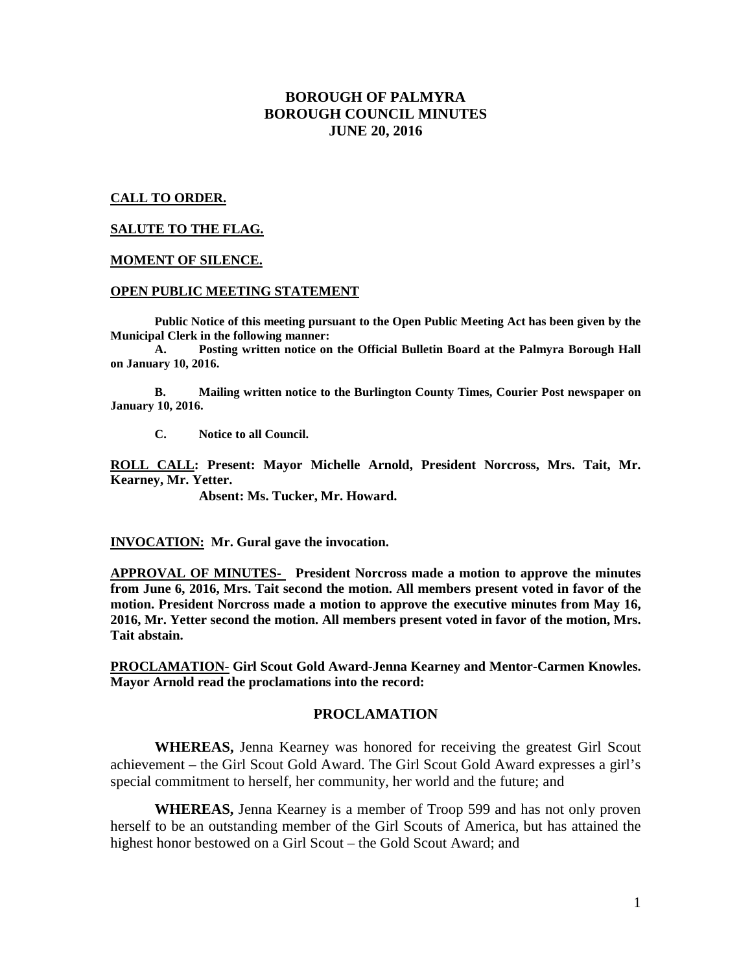# **BOROUGH OF PALMYRA BOROUGH COUNCIL MINUTES JUNE 20, 2016**

#### **CALL TO ORDER.**

#### **SALUTE TO THE FLAG.**

#### **MOMENT OF SILENCE.**

#### **OPEN PUBLIC MEETING STATEMENT**

**Public Notice of this meeting pursuant to the Open Public Meeting Act has been given by the Municipal Clerk in the following manner:** 

 **A. Posting written notice on the Official Bulletin Board at the Palmyra Borough Hall on January 10, 2016.** 

 **B. Mailing written notice to the Burlington County Times, Courier Post newspaper on January 10, 2016.** 

 **C. Notice to all Council.** 

**ROLL CALL: Present: Mayor Michelle Arnold, President Norcross, Mrs. Tait, Mr. Kearney, Mr. Yetter.** 

 **Absent: Ms. Tucker, Mr. Howard.** 

**INVOCATION: Mr. Gural gave the invocation.** 

**APPROVAL OF MINUTES- President Norcross made a motion to approve the minutes from June 6, 2016, Mrs. Tait second the motion. All members present voted in favor of the motion. President Norcross made a motion to approve the executive minutes from May 16, 2016, Mr. Yetter second the motion. All members present voted in favor of the motion, Mrs. Tait abstain.** 

**PROCLAMATION- Girl Scout Gold Award-Jenna Kearney and Mentor-Carmen Knowles. Mayor Arnold read the proclamations into the record:** 

#### **PROCLAMATION**

**WHEREAS,** Jenna Kearney was honored for receiving the greatest Girl Scout achievement – the Girl Scout Gold Award. The Girl Scout Gold Award expresses a girl's special commitment to herself, her community, her world and the future; and

**WHEREAS,** Jenna Kearney is a member of Troop 599 and has not only proven herself to be an outstanding member of the Girl Scouts of America, but has attained the highest honor bestowed on a Girl Scout – the Gold Scout Award; and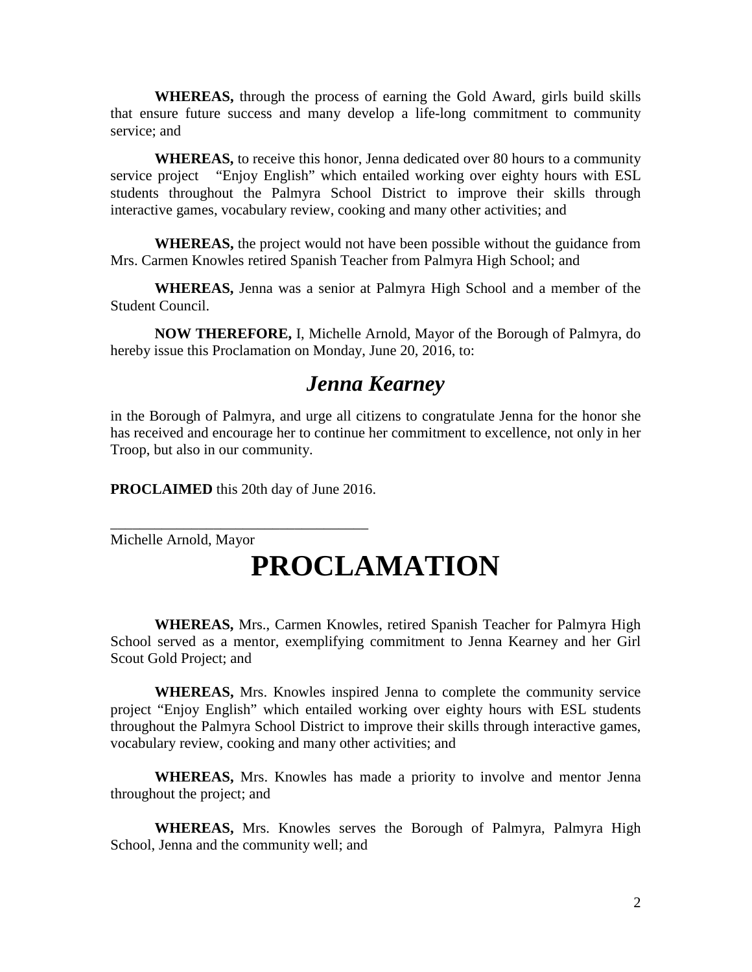**WHEREAS,** through the process of earning the Gold Award, girls build skills that ensure future success and many develop a life-long commitment to community service; and

**WHEREAS,** to receive this honor, Jenna dedicated over 80 hours to a community service project "Enjoy English" which entailed working over eighty hours with ESL students throughout the Palmyra School District to improve their skills through interactive games, vocabulary review, cooking and many other activities; and

**WHEREAS,** the project would not have been possible without the guidance from Mrs. Carmen Knowles retired Spanish Teacher from Palmyra High School; and

**WHEREAS,** Jenna was a senior at Palmyra High School and a member of the Student Council.

**NOW THEREFORE,** I, Michelle Arnold, Mayor of the Borough of Palmyra, do hereby issue this Proclamation on Monday, June 20, 2016, to:

# *Jenna Kearney*

in the Borough of Palmyra, and urge all citizens to congratulate Jenna for the honor she has received and encourage her to continue her commitment to excellence, not only in her Troop, but also in our community.

**PROCLAIMED** this 20th day of June 2016.

\_\_\_\_\_\_\_\_\_\_\_\_\_\_\_\_\_\_\_\_\_\_\_\_\_\_\_\_\_\_\_\_\_\_\_

Michelle Arnold, Mayor

# **PROCLAMATION**

**WHEREAS,** Mrs., Carmen Knowles, retired Spanish Teacher for Palmyra High School served as a mentor, exemplifying commitment to Jenna Kearney and her Girl Scout Gold Project; and

**WHEREAS,** Mrs. Knowles inspired Jenna to complete the community service project "Enjoy English" which entailed working over eighty hours with ESL students throughout the Palmyra School District to improve their skills through interactive games, vocabulary review, cooking and many other activities; and

**WHEREAS,** Mrs. Knowles has made a priority to involve and mentor Jenna throughout the project; and

**WHEREAS,** Mrs. Knowles serves the Borough of Palmyra, Palmyra High School, Jenna and the community well; and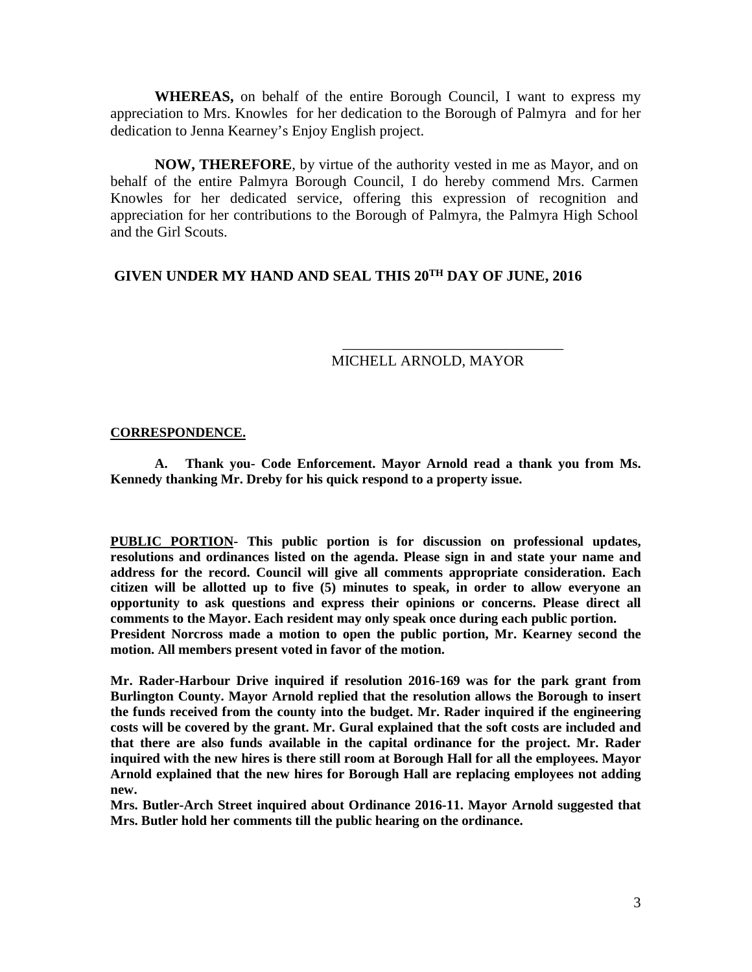**WHEREAS,** on behalf of the entire Borough Council, I want to express my appreciation to Mrs. Knowles for her dedication to the Borough of Palmyra and for her dedication to Jenna Kearney's Enjoy English project.

**NOW, THEREFORE**, by virtue of the authority vested in me as Mayor, and on behalf of the entire Palmyra Borough Council, I do hereby commend Mrs. Carmen Knowles for her dedicated service, offering this expression of recognition and appreciation for her contributions to the Borough of Palmyra, the Palmyra High School and the Girl Scouts.

## **GIVEN UNDER MY HAND AND SEAL THIS 20TH DAY OF JUNE, 2016**

 $\overline{\phantom{a}}$  ,  $\overline{\phantom{a}}$  ,  $\overline{\phantom{a}}$  ,  $\overline{\phantom{a}}$  ,  $\overline{\phantom{a}}$  ,  $\overline{\phantom{a}}$  ,  $\overline{\phantom{a}}$  ,  $\overline{\phantom{a}}$  ,  $\overline{\phantom{a}}$  ,  $\overline{\phantom{a}}$  ,  $\overline{\phantom{a}}$  ,  $\overline{\phantom{a}}$  ,  $\overline{\phantom{a}}$  ,  $\overline{\phantom{a}}$  ,  $\overline{\phantom{a}}$  ,  $\overline{\phantom{a}}$ 

MICHELL ARNOLD, MAYOR

#### **CORRESPONDENCE.**

 **A. Thank you- Code Enforcement. Mayor Arnold read a thank you from Ms. Kennedy thanking Mr. Dreby for his quick respond to a property issue.** 

**PUBLIC PORTION- This public portion is for discussion on professional updates, resolutions and ordinances listed on the agenda. Please sign in and state your name and address for the record. Council will give all comments appropriate consideration. Each citizen will be allotted up to five (5) minutes to speak, in order to allow everyone an opportunity to ask questions and express their opinions or concerns. Please direct all comments to the Mayor. Each resident may only speak once during each public portion. President Norcross made a motion to open the public portion, Mr. Kearney second the motion. All members present voted in favor of the motion.** 

**Mr. Rader-Harbour Drive inquired if resolution 2016-169 was for the park grant from Burlington County. Mayor Arnold replied that the resolution allows the Borough to insert the funds received from the county into the budget. Mr. Rader inquired if the engineering costs will be covered by the grant. Mr. Gural explained that the soft costs are included and that there are also funds available in the capital ordinance for the project. Mr. Rader inquired with the new hires is there still room at Borough Hall for all the employees. Mayor Arnold explained that the new hires for Borough Hall are replacing employees not adding new.** 

**Mrs. Butler-Arch Street inquired about Ordinance 2016-11. Mayor Arnold suggested that Mrs. Butler hold her comments till the public hearing on the ordinance.**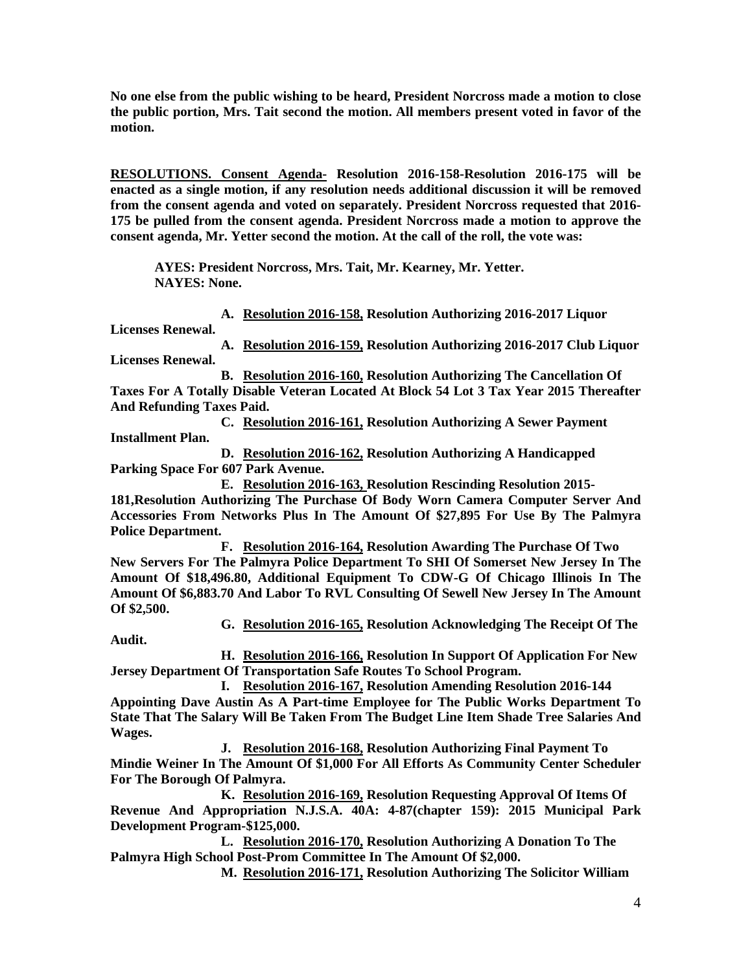**No one else from the public wishing to be heard, President Norcross made a motion to close the public portion, Mrs. Tait second the motion. All members present voted in favor of the motion.** 

**RESOLUTIONS. Consent Agenda- Resolution 2016-158-Resolution 2016-175 will be enacted as a single motion, if any resolution needs additional discussion it will be removed from the consent agenda and voted on separately. President Norcross requested that 2016- 175 be pulled from the consent agenda. President Norcross made a motion to approve the consent agenda, Mr. Yetter second the motion. At the call of the roll, the vote was:** 

 **AYES: President Norcross, Mrs. Tait, Mr. Kearney, Mr. Yetter. NAYES: None.** 

**A. Resolution 2016-158, Resolution Authorizing 2016-2017 Liquor** 

**Licenses Renewal.** 

**Audit.** 

**A. Resolution 2016-159, Resolution Authorizing 2016-2017 Club Liquor Licenses Renewal.** 

**B. Resolution 2016-160, Resolution Authorizing The Cancellation Of Taxes For A Totally Disable Veteran Located At Block 54 Lot 3 Tax Year 2015 Thereafter And Refunding Taxes Paid.** 

**C. Resolution 2016-161, Resolution Authorizing A Sewer Payment Installment Plan.** 

**D. Resolution 2016-162, Resolution Authorizing A Handicapped Parking Space For 607 Park Avenue.** 

**E. Resolution 2016-163, Resolution Rescinding Resolution 2015-** 

**181,Resolution Authorizing The Purchase Of Body Worn Camera Computer Server And Accessories From Networks Plus In The Amount Of \$27,895 For Use By The Palmyra Police Department.** 

**F. Resolution 2016-164, Resolution Awarding The Purchase Of Two New Servers For The Palmyra Police Department To SHI Of Somerset New Jersey In The Amount Of \$18,496.80, Additional Equipment To CDW-G Of Chicago Illinois In The Amount Of \$6,883.70 And Labor To RVL Consulting Of Sewell New Jersey In The Amount Of \$2,500.** 

**G. Resolution 2016-165, Resolution Acknowledging The Receipt Of The** 

**H. Resolution 2016-166, Resolution In Support Of Application For New Jersey Department Of Transportation Safe Routes To School Program.** 

**I. Resolution 2016-167, Resolution Amending Resolution 2016-144 Appointing Dave Austin As A Part-time Employee for The Public Works Department To State That The Salary Will Be Taken From The Budget Line Item Shade Tree Salaries And Wages.** 

**J. Resolution 2016-168, Resolution Authorizing Final Payment To Mindie Weiner In The Amount Of \$1,000 For All Efforts As Community Center Scheduler For The Borough Of Palmyra.** 

**K. Resolution 2016-169, Resolution Requesting Approval Of Items Of Revenue And Appropriation N.J.S.A. 40A: 4-87(chapter 159): 2015 Municipal Park Development Program-\$125,000.** 

**L. Resolution 2016-170, Resolution Authorizing A Donation To The Palmyra High School Post-Prom Committee In The Amount Of \$2,000.** 

**M. Resolution 2016-171, Resolution Authorizing The Solicitor William**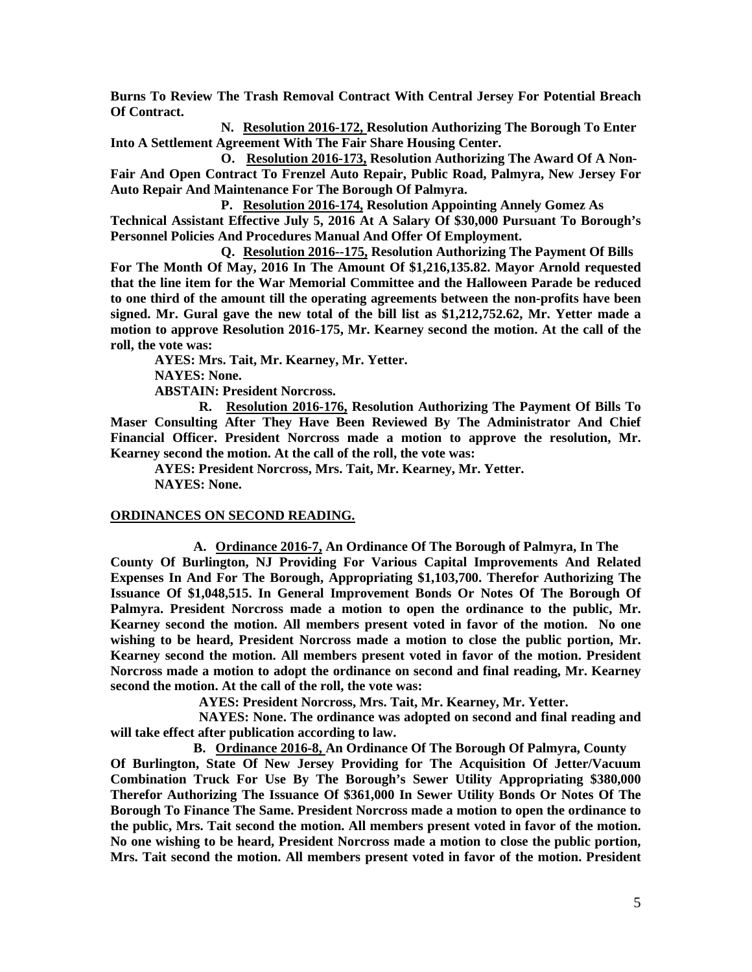**Burns To Review The Trash Removal Contract With Central Jersey For Potential Breach Of Contract.** 

**N. Resolution 2016-172, Resolution Authorizing The Borough To Enter Into A Settlement Agreement With The Fair Share Housing Center.** 

**O. Resolution 2016-173, Resolution Authorizing The Award Of A Non-Fair And Open Contract To Frenzel Auto Repair, Public Road, Palmyra, New Jersey For Auto Repair And Maintenance For The Borough Of Palmyra.** 

**P. Resolution 2016-174, Resolution Appointing Annely Gomez As Technical Assistant Effective July 5, 2016 At A Salary Of \$30,000 Pursuant To Borough's Personnel Policies And Procedures Manual And Offer Of Employment.** 

**Q. Resolution 2016--175, Resolution Authorizing The Payment Of Bills For The Month Of May, 2016 In The Amount Of \$1,216,135.82. Mayor Arnold requested that the line item for the War Memorial Committee and the Halloween Parade be reduced to one third of the amount till the operating agreements between the non-profits have been signed. Mr. Gural gave the new total of the bill list as \$1,212,752.62, Mr. Yetter made a motion to approve Resolution 2016-175, Mr. Kearney second the motion. At the call of the roll, the vote was:** 

 **AYES: Mrs. Tait, Mr. Kearney, Mr. Yetter.** 

 **NAYES: None.** 

 **ABSTAIN: President Norcross.** 

 **R. Resolution 2016-176, Resolution Authorizing The Payment Of Bills To Maser Consulting After They Have Been Reviewed By The Administrator And Chief Financial Officer. President Norcross made a motion to approve the resolution, Mr. Kearney second the motion. At the call of the roll, the vote was:** 

 **AYES: President Norcross, Mrs. Tait, Mr. Kearney, Mr. Yetter. NAYES: None.** 

#### **ORDINANCES ON SECOND READING.**

**A. Ordinance 2016-7, An Ordinance Of The Borough of Palmyra, In The County Of Burlington, NJ Providing For Various Capital Improvements And Related Expenses In And For The Borough, Appropriating \$1,103,700. Therefor Authorizing The Issuance Of \$1,048,515. In General Improvement Bonds Or Notes Of The Borough Of Palmyra. President Norcross made a motion to open the ordinance to the public, Mr. Kearney second the motion. All members present voted in favor of the motion. No one wishing to be heard, President Norcross made a motion to close the public portion, Mr. Kearney second the motion. All members present voted in favor of the motion. President Norcross made a motion to adopt the ordinance on second and final reading, Mr. Kearney second the motion. At the call of the roll, the vote was:** 

 **AYES: President Norcross, Mrs. Tait, Mr. Kearney, Mr. Yetter.** 

 **NAYES: None. The ordinance was adopted on second and final reading and will take effect after publication according to law.** 

**B. Ordinance 2016-8, An Ordinance Of The Borough Of Palmyra, County Of Burlington, State Of New Jersey Providing for The Acquisition Of Jetter/Vacuum Combination Truck For Use By The Borough's Sewer Utility Appropriating \$380,000 Therefor Authorizing The Issuance Of \$361,000 In Sewer Utility Bonds Or Notes Of The Borough To Finance The Same. President Norcross made a motion to open the ordinance to the public, Mrs. Tait second the motion. All members present voted in favor of the motion. No one wishing to be heard, President Norcross made a motion to close the public portion, Mrs. Tait second the motion. All members present voted in favor of the motion. President**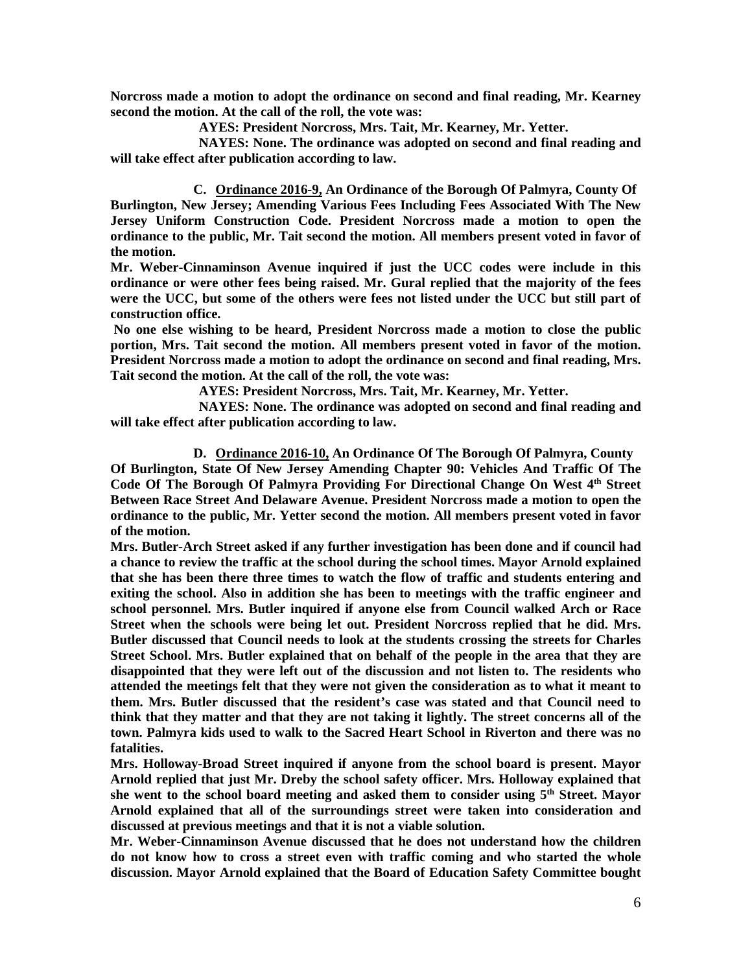**Norcross made a motion to adopt the ordinance on second and final reading, Mr. Kearney second the motion. At the call of the roll, the vote was:** 

 **AYES: President Norcross, Mrs. Tait, Mr. Kearney, Mr. Yetter.** 

 **NAYES: None. The ordinance was adopted on second and final reading and will take effect after publication according to law.** 

**C. Ordinance 2016-9, An Ordinance of the Borough Of Palmyra, County Of Burlington, New Jersey; Amending Various Fees Including Fees Associated With The New Jersey Uniform Construction Code. President Norcross made a motion to open the ordinance to the public, Mr. Tait second the motion. All members present voted in favor of the motion.** 

**Mr. Weber-Cinnaminson Avenue inquired if just the UCC codes were include in this ordinance or were other fees being raised. Mr. Gural replied that the majority of the fees were the UCC, but some of the others were fees not listed under the UCC but still part of construction office.** 

 **No one else wishing to be heard, President Norcross made a motion to close the public portion, Mrs. Tait second the motion. All members present voted in favor of the motion. President Norcross made a motion to adopt the ordinance on second and final reading, Mrs. Tait second the motion. At the call of the roll, the vote was:** 

 **AYES: President Norcross, Mrs. Tait, Mr. Kearney, Mr. Yetter.** 

 **NAYES: None. The ordinance was adopted on second and final reading and will take effect after publication according to law.** 

**D. Ordinance 2016-10, An Ordinance Of The Borough Of Palmyra, County Of Burlington, State Of New Jersey Amending Chapter 90: Vehicles And Traffic Of The Code Of The Borough Of Palmyra Providing For Directional Change On West 4th Street Between Race Street And Delaware Avenue. President Norcross made a motion to open the ordinance to the public, Mr. Yetter second the motion. All members present voted in favor of the motion.** 

**Mrs. Butler-Arch Street asked if any further investigation has been done and if council had a chance to review the traffic at the school during the school times. Mayor Arnold explained that she has been there three times to watch the flow of traffic and students entering and exiting the school. Also in addition she has been to meetings with the traffic engineer and school personnel. Mrs. Butler inquired if anyone else from Council walked Arch or Race Street when the schools were being let out. President Norcross replied that he did. Mrs. Butler discussed that Council needs to look at the students crossing the streets for Charles Street School. Mrs. Butler explained that on behalf of the people in the area that they are disappointed that they were left out of the discussion and not listen to. The residents who attended the meetings felt that they were not given the consideration as to what it meant to them. Mrs. Butler discussed that the resident's case was stated and that Council need to think that they matter and that they are not taking it lightly. The street concerns all of the town. Palmyra kids used to walk to the Sacred Heart School in Riverton and there was no fatalities.** 

**Mrs. Holloway-Broad Street inquired if anyone from the school board is present. Mayor Arnold replied that just Mr. Dreby the school safety officer. Mrs. Holloway explained that she went to the school board meeting and asked them to consider using 5th Street. Mayor Arnold explained that all of the surroundings street were taken into consideration and discussed at previous meetings and that it is not a viable solution.** 

**Mr. Weber-Cinnaminson Avenue discussed that he does not understand how the children do not know how to cross a street even with traffic coming and who started the whole discussion. Mayor Arnold explained that the Board of Education Safety Committee bought**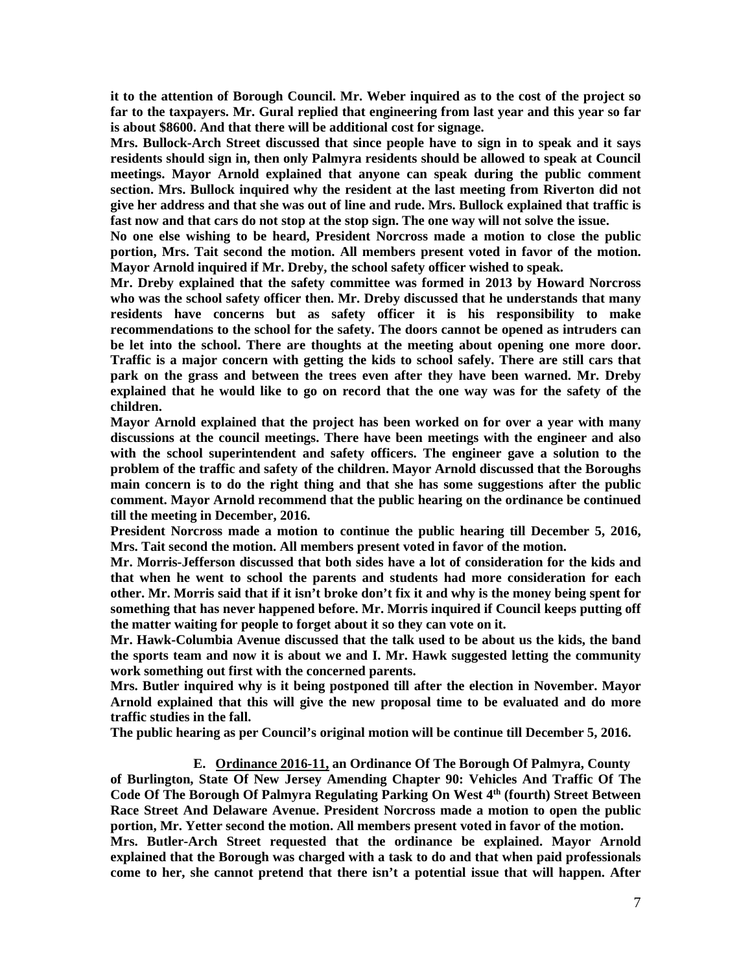**it to the attention of Borough Council. Mr. Weber inquired as to the cost of the project so far to the taxpayers. Mr. Gural replied that engineering from last year and this year so far is about \$8600. And that there will be additional cost for signage.** 

**Mrs. Bullock-Arch Street discussed that since people have to sign in to speak and it says residents should sign in, then only Palmyra residents should be allowed to speak at Council meetings. Mayor Arnold explained that anyone can speak during the public comment section. Mrs. Bullock inquired why the resident at the last meeting from Riverton did not give her address and that she was out of line and rude. Mrs. Bullock explained that traffic is fast now and that cars do not stop at the stop sign. The one way will not solve the issue.** 

**No one else wishing to be heard, President Norcross made a motion to close the public portion, Mrs. Tait second the motion. All members present voted in favor of the motion. Mayor Arnold inquired if Mr. Dreby, the school safety officer wished to speak.** 

**Mr. Dreby explained that the safety committee was formed in 2013 by Howard Norcross who was the school safety officer then. Mr. Dreby discussed that he understands that many residents have concerns but as safety officer it is his responsibility to make recommendations to the school for the safety. The doors cannot be opened as intruders can be let into the school. There are thoughts at the meeting about opening one more door. Traffic is a major concern with getting the kids to school safely. There are still cars that park on the grass and between the trees even after they have been warned. Mr. Dreby explained that he would like to go on record that the one way was for the safety of the children.** 

**Mayor Arnold explained that the project has been worked on for over a year with many discussions at the council meetings. There have been meetings with the engineer and also with the school superintendent and safety officers. The engineer gave a solution to the problem of the traffic and safety of the children. Mayor Arnold discussed that the Boroughs main concern is to do the right thing and that she has some suggestions after the public comment. Mayor Arnold recommend that the public hearing on the ordinance be continued till the meeting in December, 2016.** 

**President Norcross made a motion to continue the public hearing till December 5, 2016, Mrs. Tait second the motion. All members present voted in favor of the motion.** 

**Mr. Morris-Jefferson discussed that both sides have a lot of consideration for the kids and that when he went to school the parents and students had more consideration for each other. Mr. Morris said that if it isn't broke don't fix it and why is the money being spent for something that has never happened before. Mr. Morris inquired if Council keeps putting off the matter waiting for people to forget about it so they can vote on it.** 

**Mr. Hawk-Columbia Avenue discussed that the talk used to be about us the kids, the band the sports team and now it is about we and I. Mr. Hawk suggested letting the community work something out first with the concerned parents.** 

**Mrs. Butler inquired why is it being postponed till after the election in November. Mayor Arnold explained that this will give the new proposal time to be evaluated and do more traffic studies in the fall.** 

**The public hearing as per Council's original motion will be continue till December 5, 2016.** 

**E. Ordinance 2016-11, an Ordinance Of The Borough Of Palmyra, County of Burlington, State Of New Jersey Amending Chapter 90: Vehicles And Traffic Of The Code Of The Borough Of Palmyra Regulating Parking On West 4th (fourth) Street Between Race Street And Delaware Avenue. President Norcross made a motion to open the public** 

**portion, Mr. Yetter second the motion. All members present voted in favor of the motion. Mrs. Butler-Arch Street requested that the ordinance be explained. Mayor Arnold explained that the Borough was charged with a task to do and that when paid professionals come to her, she cannot pretend that there isn't a potential issue that will happen. After**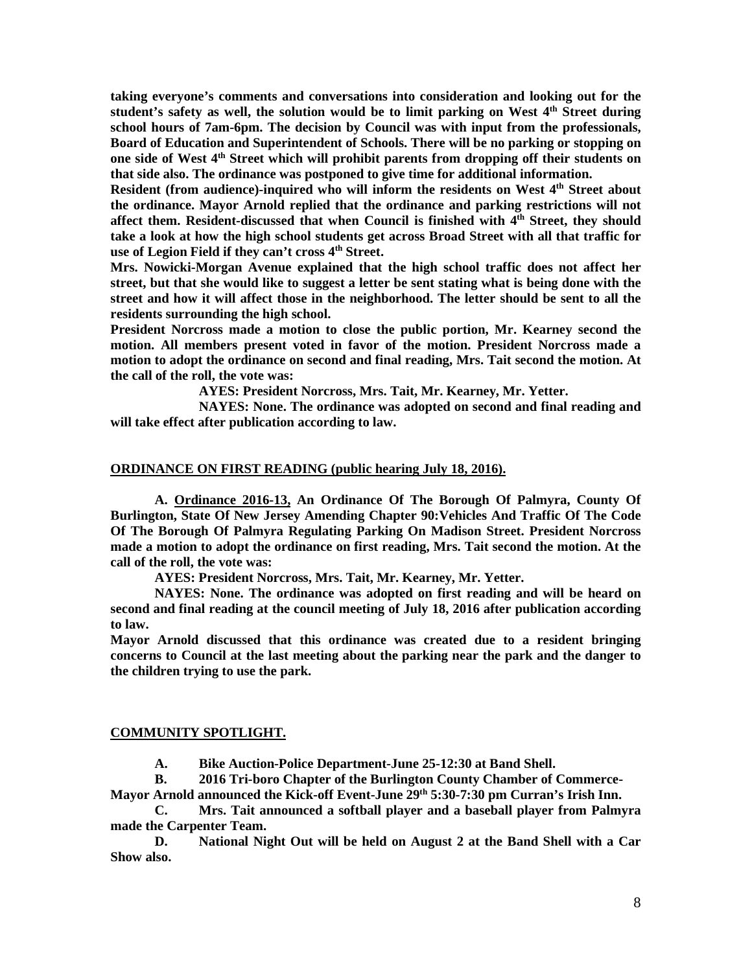**taking everyone's comments and conversations into consideration and looking out for the student's safety as well, the solution would be to limit parking on West 4th Street during school hours of 7am-6pm. The decision by Council was with input from the professionals, Board of Education and Superintendent of Schools. There will be no parking or stopping on one side of West 4th Street which will prohibit parents from dropping off their students on that side also. The ordinance was postponed to give time for additional information.** 

**Resident (from audience)-inquired who will inform the residents on West 4th Street about the ordinance. Mayor Arnold replied that the ordinance and parking restrictions will not affect them. Resident-discussed that when Council is finished with 4th Street, they should take a look at how the high school students get across Broad Street with all that traffic for use of Legion Field if they can't cross 4th Street.** 

**Mrs. Nowicki-Morgan Avenue explained that the high school traffic does not affect her street, but that she would like to suggest a letter be sent stating what is being done with the street and how it will affect those in the neighborhood. The letter should be sent to all the residents surrounding the high school.** 

**President Norcross made a motion to close the public portion, Mr. Kearney second the motion. All members present voted in favor of the motion. President Norcross made a motion to adopt the ordinance on second and final reading, Mrs. Tait second the motion. At the call of the roll, the vote was:** 

 **AYES: President Norcross, Mrs. Tait, Mr. Kearney, Mr. Yetter.** 

 **NAYES: None. The ordinance was adopted on second and final reading and will take effect after publication according to law.** 

#### **ORDINANCE ON FIRST READING (public hearing July 18, 2016).**

**A. Ordinance 2016-13, An Ordinance Of The Borough Of Palmyra, County Of Burlington, State Of New Jersey Amending Chapter 90:Vehicles And Traffic Of The Code Of The Borough Of Palmyra Regulating Parking On Madison Street. President Norcross made a motion to adopt the ordinance on first reading, Mrs. Tait second the motion. At the call of the roll, the vote was:** 

**AYES: President Norcross, Mrs. Tait, Mr. Kearney, Mr. Yetter.** 

**NAYES: None. The ordinance was adopted on first reading and will be heard on second and final reading at the council meeting of July 18, 2016 after publication according to law.** 

**Mayor Arnold discussed that this ordinance was created due to a resident bringing concerns to Council at the last meeting about the parking near the park and the danger to the children trying to use the park.** 

#### **COMMUNITY SPOTLIGHT.**

**A. Bike Auction-Police Department-June 25-12:30 at Band Shell.** 

**B. 2016 Tri-boro Chapter of the Burlington County Chamber of Commerce-**

**Mayor Arnold announced the Kick-off Event-June 29th 5:30-7:30 pm Curran's Irish Inn.** 

 **C. Mrs. Tait announced a softball player and a baseball player from Palmyra made the Carpenter Team.** 

 **D. National Night Out will be held on August 2 at the Band Shell with a Car Show also.**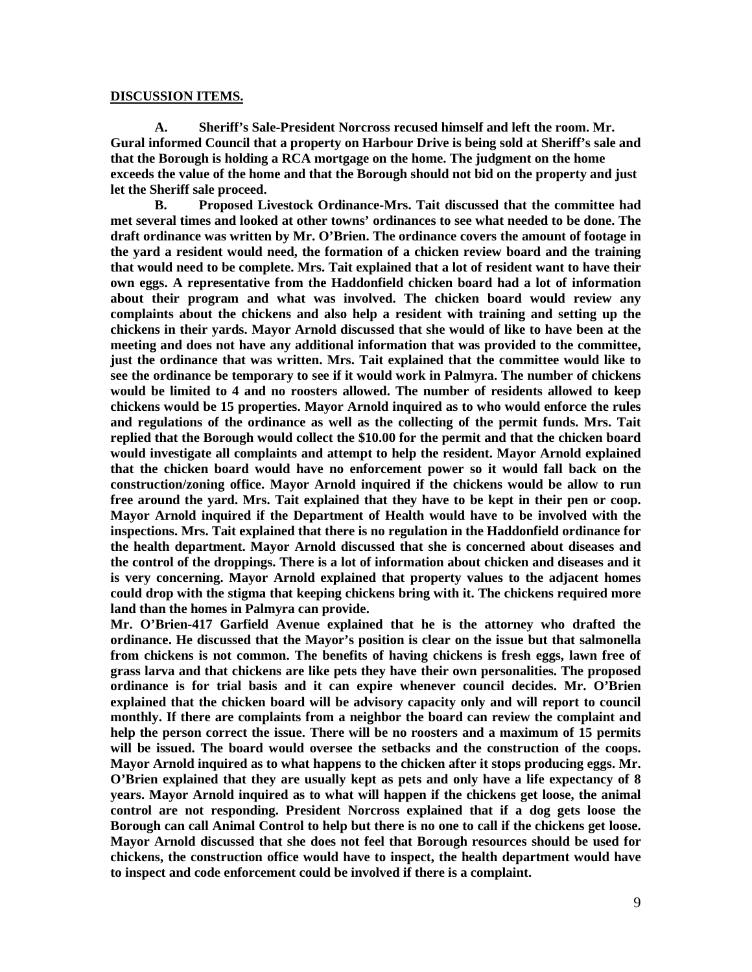#### **DISCUSSION ITEMS.**

 **A. Sheriff's Sale-President Norcross recused himself and left the room. Mr. Gural informed Council that a property on Harbour Drive is being sold at Sheriff's sale and that the Borough is holding a RCA mortgage on the home. The judgment on the home exceeds the value of the home and that the Borough should not bid on the property and just let the Sheriff sale proceed.** 

 **B. Proposed Livestock Ordinance-Mrs. Tait discussed that the committee had met several times and looked at other towns' ordinances to see what needed to be done. The draft ordinance was written by Mr. O'Brien. The ordinance covers the amount of footage in the yard a resident would need, the formation of a chicken review board and the training that would need to be complete. Mrs. Tait explained that a lot of resident want to have their own eggs. A representative from the Haddonfield chicken board had a lot of information about their program and what was involved. The chicken board would review any complaints about the chickens and also help a resident with training and setting up the chickens in their yards. Mayor Arnold discussed that she would of like to have been at the meeting and does not have any additional information that was provided to the committee, just the ordinance that was written. Mrs. Tait explained that the committee would like to see the ordinance be temporary to see if it would work in Palmyra. The number of chickens would be limited to 4 and no roosters allowed. The number of residents allowed to keep chickens would be 15 properties. Mayor Arnold inquired as to who would enforce the rules and regulations of the ordinance as well as the collecting of the permit funds. Mrs. Tait replied that the Borough would collect the \$10.00 for the permit and that the chicken board would investigate all complaints and attempt to help the resident. Mayor Arnold explained that the chicken board would have no enforcement power so it would fall back on the construction/zoning office. Mayor Arnold inquired if the chickens would be allow to run free around the yard. Mrs. Tait explained that they have to be kept in their pen or coop. Mayor Arnold inquired if the Department of Health would have to be involved with the inspections. Mrs. Tait explained that there is no regulation in the Haddonfield ordinance for the health department. Mayor Arnold discussed that she is concerned about diseases and the control of the droppings. There is a lot of information about chicken and diseases and it is very concerning. Mayor Arnold explained that property values to the adjacent homes could drop with the stigma that keeping chickens bring with it. The chickens required more land than the homes in Palmyra can provide.** 

**Mr. O'Brien-417 Garfield Avenue explained that he is the attorney who drafted the ordinance. He discussed that the Mayor's position is clear on the issue but that salmonella from chickens is not common. The benefits of having chickens is fresh eggs, lawn free of grass larva and that chickens are like pets they have their own personalities. The proposed ordinance is for trial basis and it can expire whenever council decides. Mr. O'Brien explained that the chicken board will be advisory capacity only and will report to council monthly. If there are complaints from a neighbor the board can review the complaint and help the person correct the issue. There will be no roosters and a maximum of 15 permits will be issued. The board would oversee the setbacks and the construction of the coops. Mayor Arnold inquired as to what happens to the chicken after it stops producing eggs. Mr. O'Brien explained that they are usually kept as pets and only have a life expectancy of 8 years. Mayor Arnold inquired as to what will happen if the chickens get loose, the animal control are not responding. President Norcross explained that if a dog gets loose the Borough can call Animal Control to help but there is no one to call if the chickens get loose. Mayor Arnold discussed that she does not feel that Borough resources should be used for chickens, the construction office would have to inspect, the health department would have to inspect and code enforcement could be involved if there is a complaint.**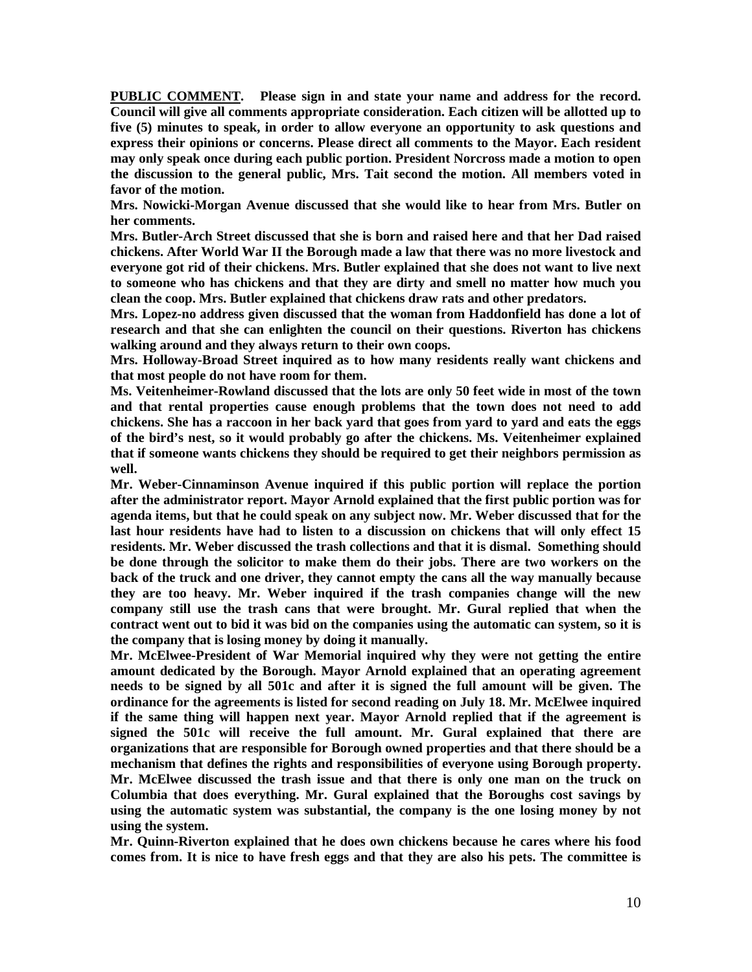**PUBLIC COMMENT. Please sign in and state your name and address for the record. Council will give all comments appropriate consideration. Each citizen will be allotted up to five (5) minutes to speak, in order to allow everyone an opportunity to ask questions and express their opinions or concerns. Please direct all comments to the Mayor. Each resident may only speak once during each public portion. President Norcross made a motion to open the discussion to the general public, Mrs. Tait second the motion. All members voted in favor of the motion.** 

**Mrs. Nowicki-Morgan Avenue discussed that she would like to hear from Mrs. Butler on her comments.** 

**Mrs. Butler-Arch Street discussed that she is born and raised here and that her Dad raised chickens. After World War II the Borough made a law that there was no more livestock and everyone got rid of their chickens. Mrs. Butler explained that she does not want to live next to someone who has chickens and that they are dirty and smell no matter how much you clean the coop. Mrs. Butler explained that chickens draw rats and other predators.** 

**Mrs. Lopez-no address given discussed that the woman from Haddonfield has done a lot of research and that she can enlighten the council on their questions. Riverton has chickens walking around and they always return to their own coops.** 

**Mrs. Holloway-Broad Street inquired as to how many residents really want chickens and that most people do not have room for them.** 

**Ms. Veitenheimer-Rowland discussed that the lots are only 50 feet wide in most of the town and that rental properties cause enough problems that the town does not need to add chickens. She has a raccoon in her back yard that goes from yard to yard and eats the eggs of the bird's nest, so it would probably go after the chickens. Ms. Veitenheimer explained that if someone wants chickens they should be required to get their neighbors permission as well.** 

**Mr. Weber-Cinnaminson Avenue inquired if this public portion will replace the portion after the administrator report. Mayor Arnold explained that the first public portion was for agenda items, but that he could speak on any subject now. Mr. Weber discussed that for the last hour residents have had to listen to a discussion on chickens that will only effect 15 residents. Mr. Weber discussed the trash collections and that it is dismal. Something should be done through the solicitor to make them do their jobs. There are two workers on the back of the truck and one driver, they cannot empty the cans all the way manually because they are too heavy. Mr. Weber inquired if the trash companies change will the new company still use the trash cans that were brought. Mr. Gural replied that when the contract went out to bid it was bid on the companies using the automatic can system, so it is the company that is losing money by doing it manually.** 

**Mr. McElwee-President of War Memorial inquired why they were not getting the entire amount dedicated by the Borough. Mayor Arnold explained that an operating agreement needs to be signed by all 501c and after it is signed the full amount will be given. The ordinance for the agreements is listed for second reading on July 18. Mr. McElwee inquired if the same thing will happen next year. Mayor Arnold replied that if the agreement is signed the 501c will receive the full amount. Mr. Gural explained that there are organizations that are responsible for Borough owned properties and that there should be a mechanism that defines the rights and responsibilities of everyone using Borough property. Mr. McElwee discussed the trash issue and that there is only one man on the truck on Columbia that does everything. Mr. Gural explained that the Boroughs cost savings by using the automatic system was substantial, the company is the one losing money by not using the system.** 

**Mr. Quinn-Riverton explained that he does own chickens because he cares where his food comes from. It is nice to have fresh eggs and that they are also his pets. The committee is**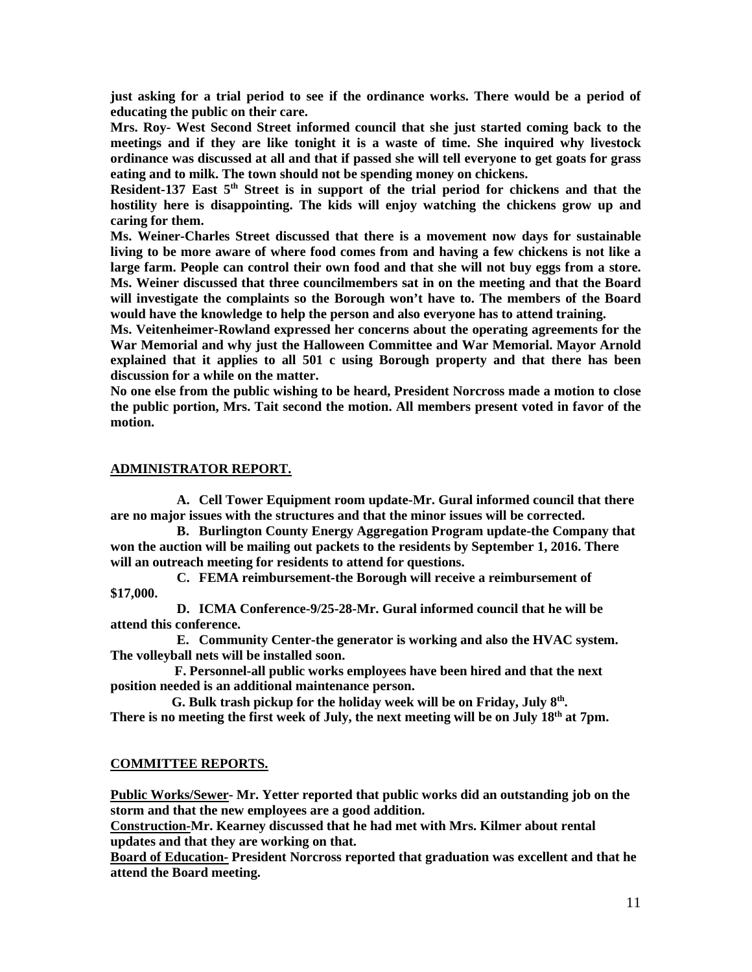**just asking for a trial period to see if the ordinance works. There would be a period of educating the public on their care.** 

**Mrs. Roy- West Second Street informed council that she just started coming back to the meetings and if they are like tonight it is a waste of time. She inquired why livestock ordinance was discussed at all and that if passed she will tell everyone to get goats for grass eating and to milk. The town should not be spending money on chickens.** 

**Resident-137 East 5th Street is in support of the trial period for chickens and that the hostility here is disappointing. The kids will enjoy watching the chickens grow up and caring for them.** 

**Ms. Weiner-Charles Street discussed that there is a movement now days for sustainable living to be more aware of where food comes from and having a few chickens is not like a large farm. People can control their own food and that she will not buy eggs from a store. Ms. Weiner discussed that three councilmembers sat in on the meeting and that the Board will investigate the complaints so the Borough won't have to. The members of the Board would have the knowledge to help the person and also everyone has to attend training.** 

**Ms. Veitenheimer-Rowland expressed her concerns about the operating agreements for the War Memorial and why just the Halloween Committee and War Memorial. Mayor Arnold explained that it applies to all 501 c using Borough property and that there has been discussion for a while on the matter.** 

**No one else from the public wishing to be heard, President Norcross made a motion to close the public portion, Mrs. Tait second the motion. All members present voted in favor of the motion.** 

#### **ADMINISTRATOR REPORT.**

**A. Cell Tower Equipment room update-Mr. Gural informed council that there are no major issues with the structures and that the minor issues will be corrected.** 

**B. Burlington County Energy Aggregation Program update-the Company that won the auction will be mailing out packets to the residents by September 1, 2016. There will an outreach meeting for residents to attend for questions.** 

**C. FEMA reimbursement-the Borough will receive a reimbursement of \$17,000.** 

**D. ICMA Conference-9/25-28-Mr. Gural informed council that he will be attend this conference.** 

**E. Community Center-the generator is working and also the HVAC system. The volleyball nets will be installed soon.** 

 **F. Personnel-all public works employees have been hired and that the next position needed is an additional maintenance person.** 

 **G. Bulk trash pickup for the holiday week will be on Friday, July 8th . There is no meeting the first week of July, the next meeting will be on July 18th at 7pm.** 

#### **COMMITTEE REPORTS.**

**Public Works/Sewer- Mr. Yetter reported that public works did an outstanding job on the storm and that the new employees are a good addition.** 

**Construction-Mr. Kearney discussed that he had met with Mrs. Kilmer about rental updates and that they are working on that.** 

**Board of Education- President Norcross reported that graduation was excellent and that he attend the Board meeting.**